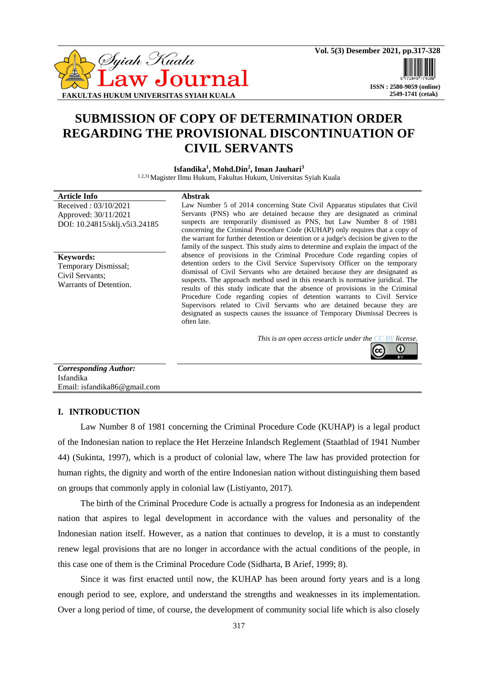

 **ISSN : 2580-9059 (online) 2549-1741 (cetak)**

# **SUBMISSION OF COPY OF DETERMINATION ORDER REGARDING THE PROVISIONAL DISCONTINUATION OF CIVIL SERVANTS**

**Isfandika<sup>1</sup> , Mohd.Din<sup>2</sup> , Iman Jauhari<sup>3</sup>**

1.2,3) Magister Ilmu Hukum, Fakultas Hukum, Universitas Syiah Kuala

| absence of provisions in the Criminal Procedure Code regarding copies of<br><b>Keywords:</b><br>detention orders to the Civil Service Supervisory Officer on the temporary<br>Temporary Dismissal;<br>dismissal of Civil Servants who are detained because they are designated as<br>Civil Servants:<br>suspects. The approach method used in this research is normative juridical. The<br>Warrants of Detention.<br>results of this study indicate that the absence of provisions in the Criminal<br>Procedure Code regarding copies of detention warrants to Civil Service<br>Supervisors related to Civil Servants who are detained because they are<br>designated as suspects causes the issuance of Temporary Dismissal Decrees is | <b>Article Info</b><br>Received: 03/10/2021<br>Approved: 30/11/2021<br>DOI: 10.24815/sklj.v5i3.24185 | <b>Abstrak</b><br>Law Number 5 of 2014 concerning State Civil Apparatus stipulates that Civil<br>Servants (PNS) who are detained because they are designated as criminal<br>suspects are temporarily dismissed as PNS, but Law Number 8 of 1981<br>concerning the Criminal Procedure Code (KUHAP) only requires that a copy of<br>the warrant for further detention or detention or a judge's decision be given to the<br>family of the suspect. This study aims to determine and explain the impact of the<br>often late. |
|-----------------------------------------------------------------------------------------------------------------------------------------------------------------------------------------------------------------------------------------------------------------------------------------------------------------------------------------------------------------------------------------------------------------------------------------------------------------------------------------------------------------------------------------------------------------------------------------------------------------------------------------------------------------------------------------------------------------------------------------|------------------------------------------------------------------------------------------------------|----------------------------------------------------------------------------------------------------------------------------------------------------------------------------------------------------------------------------------------------------------------------------------------------------------------------------------------------------------------------------------------------------------------------------------------------------------------------------------------------------------------------------|
|                                                                                                                                                                                                                                                                                                                                                                                                                                                                                                                                                                                                                                                                                                                                         |                                                                                                      |                                                                                                                                                                                                                                                                                                                                                                                                                                                                                                                            |

*This is an open access article under the [CC BY](https://creativecommons.org/licenses/by/4.0/) license.*



### *Corresponding Author:* Isfandika Email: isfandika86@gmail.com

# **I. INTRODUCTION**

Law Number 8 of 1981 concerning the Criminal Procedure Code (KUHAP) is a legal product of the Indonesian nation to replace the Het Herzeine Inlandsch Reglement (Staatblad of 1941 Number 44) (Sukinta, 1997), which is a product of colonial law, where The law has provided protection for human rights, the dignity and worth of the entire Indonesian nation without distinguishing them based on groups that commonly apply in colonial law (Listiyanto, 2017).

The birth of the Criminal Procedure Code is actually a progress for Indonesia as an independent nation that aspires to legal development in accordance with the values and personality of the Indonesian nation itself. However, as a nation that continues to develop, it is a must to constantly renew legal provisions that are no longer in accordance with the actual conditions of the people, in this case one of them is the Criminal Procedure Code (Sidharta, B Arief, 1999; 8).

Since it was first enacted until now, the KUHAP has been around forty years and is a long enough period to see, explore, and understand the strengths and weaknesses in its implementation. Over a long period of time, of course, the development of community social life which is also closely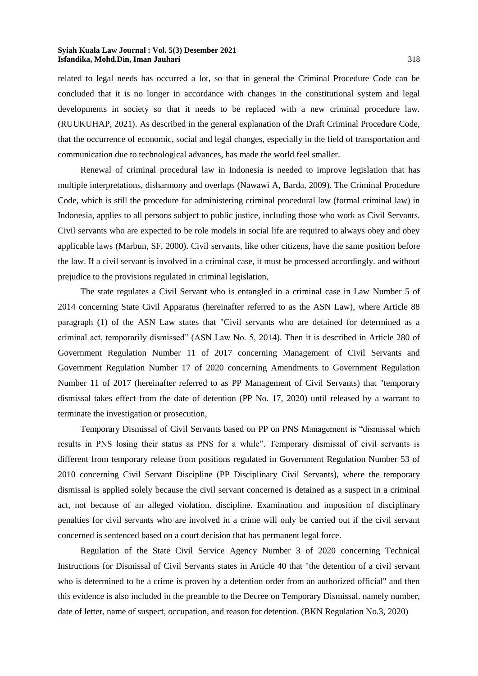related to legal needs has occurred a lot, so that in general the Criminal Procedure Code can be concluded that it is no longer in accordance with changes in the constitutional system and legal developments in society so that it needs to be replaced with a new criminal procedure law. (RUUKUHAP, 2021). As described in the general explanation of the Draft Criminal Procedure Code, that the occurrence of economic, social and legal changes, especially in the field of transportation and communication due to technological advances, has made the world feel smaller.

Renewal of criminal procedural law in Indonesia is needed to improve legislation that has multiple interpretations, disharmony and overlaps (Nawawi A, Barda, 2009). The Criminal Procedure Code, which is still the procedure for administering criminal procedural law (formal criminal law) in Indonesia, applies to all persons subject to public justice, including those who work as Civil Servants. Civil servants who are expected to be role models in social life are required to always obey and obey applicable laws (Marbun, SF, 2000). Civil servants, like other citizens, have the same position before the law. If a civil servant is involved in a criminal case, it must be processed accordingly. and without prejudice to the provisions regulated in criminal legislation,

The state regulates a Civil Servant who is entangled in a criminal case in Law Number 5 of 2014 concerning State Civil Apparatus (hereinafter referred to as the ASN Law), where Article 88 paragraph (1) of the ASN Law states that "Civil servants who are detained for determined as a criminal act, temporarily dismissed" (ASN Law No. 5, 2014). Then it is described in Article 280 of Government Regulation Number 11 of 2017 concerning Management of Civil Servants and Government Regulation Number 17 of 2020 concerning Amendments to Government Regulation Number 11 of 2017 (hereinafter referred to as PP Management of Civil Servants) that "temporary dismissal takes effect from the date of detention (PP No. 17, 2020) until released by a warrant to terminate the investigation or prosecution,

Temporary Dismissal of Civil Servants based on PP on PNS Management is "dismissal which results in PNS losing their status as PNS for a while". Temporary dismissal of civil servants is different from temporary release from positions regulated in Government Regulation Number 53 of 2010 concerning Civil Servant Discipline (PP Disciplinary Civil Servants), where the temporary dismissal is applied solely because the civil servant concerned is detained as a suspect in a criminal act, not because of an alleged violation. discipline. Examination and imposition of disciplinary penalties for civil servants who are involved in a crime will only be carried out if the civil servant concerned is sentenced based on a court decision that has permanent legal force.

Regulation of the State Civil Service Agency Number 3 of 2020 concerning Technical Instructions for Dismissal of Civil Servants states in Article 40 that "the detention of a civil servant who is determined to be a crime is proven by a detention order from an authorized official" and then this evidence is also included in the preamble to the Decree on Temporary Dismissal. namely number, date of letter, name of suspect, occupation, and reason for detention. (BKN Regulation No.3, 2020)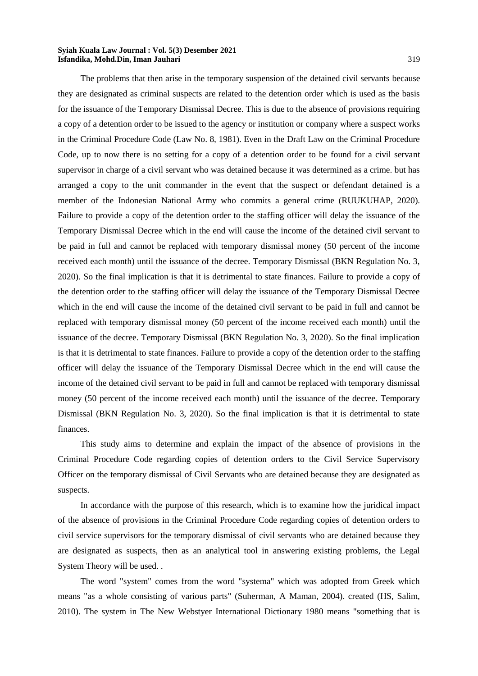The problems that then arise in the temporary suspension of the detained civil servants because they are designated as criminal suspects are related to the detention order which is used as the basis for the issuance of the Temporary Dismissal Decree. This is due to the absence of provisions requiring a copy of a detention order to be issued to the agency or institution or company where a suspect works in the Criminal Procedure Code (Law No. 8, 1981). Even in the Draft Law on the Criminal Procedure Code, up to now there is no setting for a copy of a detention order to be found for a civil servant supervisor in charge of a civil servant who was detained because it was determined as a crime. but has arranged a copy to the unit commander in the event that the suspect or defendant detained is a member of the Indonesian National Army who commits a general crime (RUUKUHAP, 2020). Failure to provide a copy of the detention order to the staffing officer will delay the issuance of the Temporary Dismissal Decree which in the end will cause the income of the detained civil servant to be paid in full and cannot be replaced with temporary dismissal money (50 percent of the income received each month) until the issuance of the decree. Temporary Dismissal (BKN Regulation No. 3, 2020). So the final implication is that it is detrimental to state finances. Failure to provide a copy of the detention order to the staffing officer will delay the issuance of the Temporary Dismissal Decree which in the end will cause the income of the detained civil servant to be paid in full and cannot be replaced with temporary dismissal money (50 percent of the income received each month) until the issuance of the decree. Temporary Dismissal (BKN Regulation No. 3, 2020). So the final implication is that it is detrimental to state finances. Failure to provide a copy of the detention order to the staffing officer will delay the issuance of the Temporary Dismissal Decree which in the end will cause the income of the detained civil servant to be paid in full and cannot be replaced with temporary dismissal money (50 percent of the income received each month) until the issuance of the decree. Temporary Dismissal (BKN Regulation No. 3, 2020). So the final implication is that it is detrimental to state finances.

This study aims to determine and explain the impact of the absence of provisions in the Criminal Procedure Code regarding copies of detention orders to the Civil Service Supervisory Officer on the temporary dismissal of Civil Servants who are detained because they are designated as suspects.

In accordance with the purpose of this research, which is to examine how the juridical impact of the absence of provisions in the Criminal Procedure Code regarding copies of detention orders to civil service supervisors for the temporary dismissal of civil servants who are detained because they are designated as suspects, then as an analytical tool in answering existing problems, the Legal System Theory will be used. .

The word "system" comes from the word "systema" which was adopted from Greek which means "as a whole consisting of various parts" (Suherman, A Maman, 2004). created (HS, Salim, 2010). The system in The New Webstyer International Dictionary 1980 means "something that is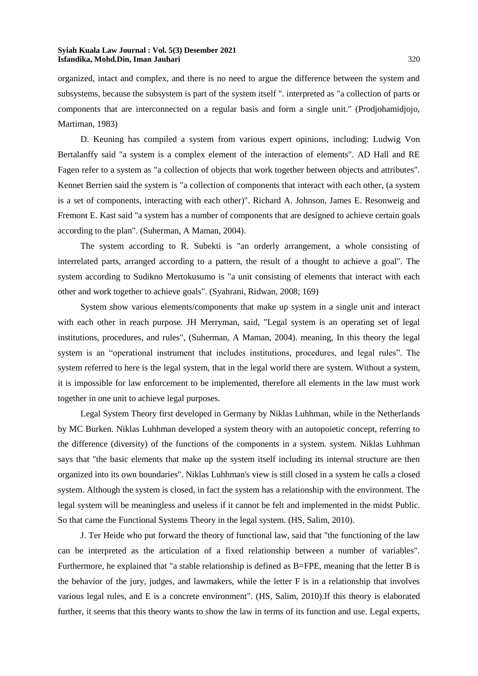organized, intact and complex, and there is no need to argue the difference between the system and subsystems, because the subsystem is part of the system itself ". interpreted as "a collection of parts or components that are interconnected on a regular basis and form a single unit." (Prodjohamidjojo, Martiman, 1983)

D. Keuning has compiled a system from various expert opinions, including: Ludwig Von Bertalanffy said "a system is a complex element of the interaction of elements". AD Hall and RE Fagen refer to a system as "a collection of objects that work together between objects and attributes". Kennet Berrien said the system is "a collection of components that interact with each other, (a system is a set of components, interacting with each other)". Richard A. Johnson, James E. Resonweig and Fremont E. Kast said "a system has a number of components that are designed to achieve certain goals according to the plan". (Suherman, A Maman, 2004).

The system according to R. Subekti is "an orderly arrangement, a whole consisting of interrelated parts, arranged according to a pattern, the result of a thought to achieve a goal". The system according to Sudikno Mertokusumo is "a unit consisting of elements that interact with each other and work together to achieve goals". (Syahrani, Ridwan, 2008; 169)

System show various elements/components that make up system in a single unit and interact with each other in reach purpose. JH Merryman, said, "Legal system is an operating set of legal institutions, procedures, and rules", (Suherman, A Maman, 2004). meaning, In this theory the legal system is an "operational instrument that includes institutions, procedures, and legal rules". The system referred to here is the legal system, that in the legal world there are system. Without a system, it is impossible for law enforcement to be implemented, therefore all elements in the law must work together in one unit to achieve legal purposes.

Legal System Theory first developed in Germany by Niklas Luhhman, while in the Netherlands by MC Burken. Niklas Luhhman developed a system theory with an autopoietic concept, referring to the difference (diversity) of the functions of the components in a system. system. Niklas Luhhman says that "the basic elements that make up the system itself including its internal structure are then organized into its own boundaries". Niklas Luhhman's view is still closed in a system he calls a closed system. Although the system is closed, in fact the system has a relationship with the environment. The legal system will be meaningless and useless if it cannot be felt and implemented in the midst Public. So that came the Functional Systems Theory in the legal system. (HS, Salim, 2010).

J. Ter Heide who put forward the theory of functional law, said that "the functioning of the law can be interpreted as the articulation of a fixed relationship between a number of variables". Furthermore, he explained that "a stable relationship is defined as B=FPE, meaning that the letter B is the behavior of the jury, judges, and lawmakers, while the letter F is in a relationship that involves various legal rules, and E is a concrete environment". (HS, Salim, 2010).If this theory is elaborated further, it seems that this theory wants to show the law in terms of its function and use. Legal experts,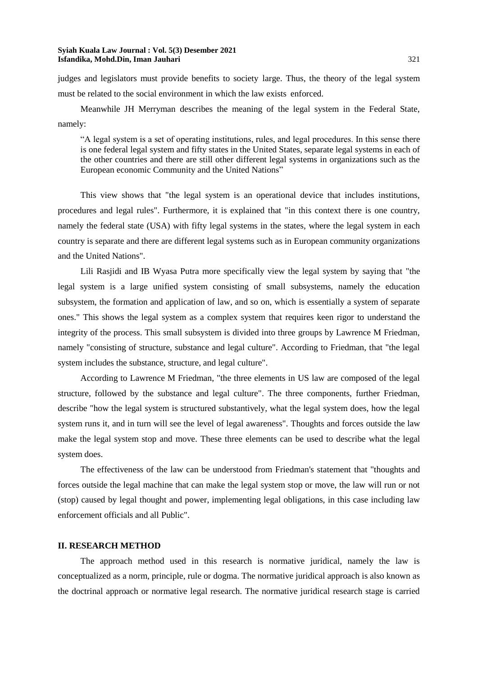judges and legislators must provide benefits to society large. Thus, the theory of the legal system must be related to the social environment in which the law exists enforced.

Meanwhile JH Merryman describes the meaning of the legal system in the Federal State, namely:

"A legal system is a set of operating institutions, rules, and legal procedures. In this sense there is one federal legal system and fifty states in the United States, separate legal systems in each of the other countries and there are still other different legal systems in organizations such as the European economic Community and the United Nations"

This view shows that "the legal system is an operational device that includes institutions, procedures and legal rules". Furthermore, it is explained that "in this context there is one country, namely the federal state (USA) with fifty legal systems in the states, where the legal system in each country is separate and there are different legal systems such as in European community organizations and the United Nations".

Lili Rasjidi and IB Wyasa Putra more specifically view the legal system by saying that "the legal system is a large unified system consisting of small subsystems, namely the education subsystem, the formation and application of law, and so on, which is essentially a system of separate ones." This shows the legal system as a complex system that requires keen rigor to understand the integrity of the process. This small subsystem is divided into three groups by Lawrence M Friedman, namely "consisting of structure, substance and legal culture". According to Friedman, that "the legal system includes the substance, structure, and legal culture".

According to Lawrence M Friedman, "the three elements in US law are composed of the legal structure, followed by the substance and legal culture". The three components, further Friedman, describe "how the legal system is structured substantively, what the legal system does, how the legal system runs it, and in turn will see the level of legal awareness". Thoughts and forces outside the law make the legal system stop and move. These three elements can be used to describe what the legal system does.

The effectiveness of the law can be understood from Friedman's statement that "thoughts and forces outside the legal machine that can make the legal system stop or move, the law will run or not (stop) caused by legal thought and power, implementing legal obligations, in this case including law enforcement officials and all Public".

# **II. RESEARCH METHOD**

The approach method used in this research is normative juridical, namely the law is conceptualized as a norm, principle, rule or dogma. The normative juridical approach is also known as the doctrinal approach or normative legal research. The normative juridical research stage is carried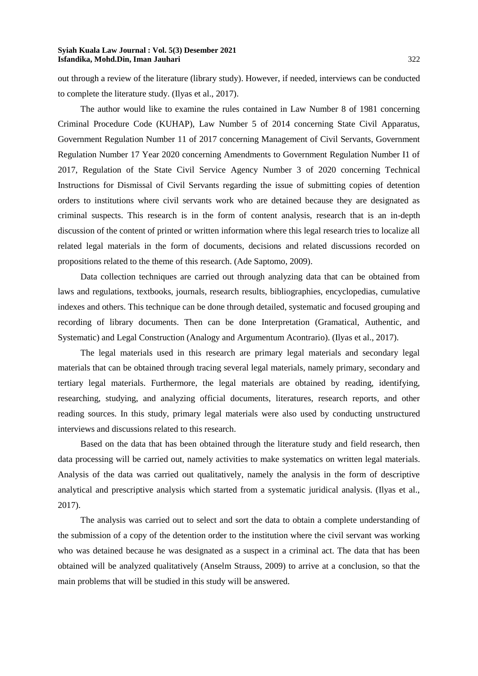out through a review of the literature (library study). However, if needed, interviews can be conducted to complete the literature study. (Ilyas et al., 2017).

The author would like to examine the rules contained in Law Number 8 of 1981 concerning Criminal Procedure Code (KUHAP), Law Number 5 of 2014 concerning State Civil Apparatus, Government Regulation Number 11 of 2017 concerning Management of Civil Servants, Government Regulation Number 17 Year 2020 concerning Amendments to Government Regulation Number I1 of 2017, Regulation of the State Civil Service Agency Number 3 of 2020 concerning Technical Instructions for Dismissal of Civil Servants regarding the issue of submitting copies of detention orders to institutions where civil servants work who are detained because they are designated as criminal suspects. This research is in the form of content analysis, research that is an in-depth discussion of the content of printed or written information where this legal research tries to localize all related legal materials in the form of documents, decisions and related discussions recorded on propositions related to the theme of this research. (Ade Saptomo, 2009).

Data collection techniques are carried out through analyzing data that can be obtained from laws and regulations, textbooks, journals, research results, bibliographies, encyclopedias, cumulative indexes and others. This technique can be done through detailed, systematic and focused grouping and recording of library documents. Then can be done Interpretation (Gramatical, Authentic, and Systematic) and Legal Construction (Analogy and Argumentum Acontrario). (Ilyas et al., 2017).

The legal materials used in this research are primary legal materials and secondary legal materials that can be obtained through tracing several legal materials, namely primary, secondary and tertiary legal materials. Furthermore, the legal materials are obtained by reading, identifying, researching, studying, and analyzing official documents, literatures, research reports, and other reading sources. In this study, primary legal materials were also used by conducting unstructured interviews and discussions related to this research.

Based on the data that has been obtained through the literature study and field research, then data processing will be carried out, namely activities to make systematics on written legal materials. Analysis of the data was carried out qualitatively, namely the analysis in the form of descriptive analytical and prescriptive analysis which started from a systematic juridical analysis. (Ilyas et al., 2017).

The analysis was carried out to select and sort the data to obtain a complete understanding of the submission of a copy of the detention order to the institution where the civil servant was working who was detained because he was designated as a suspect in a criminal act. The data that has been obtained will be analyzed qualitatively (Anselm Strauss, 2009) to arrive at a conclusion, so that the main problems that will be studied in this study will be answered.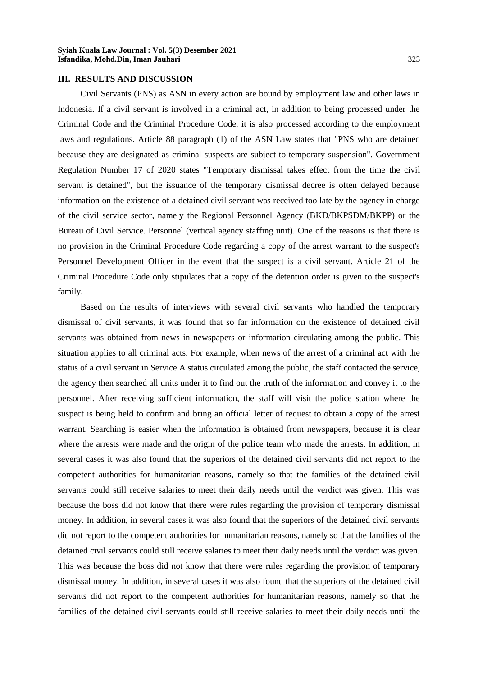## **III. RESULTS AND DISCUSSION**

Civil Servants (PNS) as ASN in every action are bound by employment law and other laws in Indonesia. If a civil servant is involved in a criminal act, in addition to being processed under the Criminal Code and the Criminal Procedure Code, it is also processed according to the employment laws and regulations. Article 88 paragraph (1) of the ASN Law states that "PNS who are detained because they are designated as criminal suspects are subject to temporary suspension". Government Regulation Number 17 of 2020 states "Temporary dismissal takes effect from the time the civil servant is detained", but the issuance of the temporary dismissal decree is often delayed because information on the existence of a detained civil servant was received too late by the agency in charge of the civil service sector, namely the Regional Personnel Agency (BKD/BKPSDM/BKPP) or the Bureau of Civil Service. Personnel (vertical agency staffing unit). One of the reasons is that there is no provision in the Criminal Procedure Code regarding a copy of the arrest warrant to the suspect's Personnel Development Officer in the event that the suspect is a civil servant. Article 21 of the Criminal Procedure Code only stipulates that a copy of the detention order is given to the suspect's family.

Based on the results of interviews with several civil servants who handled the temporary dismissal of civil servants, it was found that so far information on the existence of detained civil servants was obtained from news in newspapers or information circulating among the public. This situation applies to all criminal acts. For example, when news of the arrest of a criminal act with the status of a civil servant in Service A status circulated among the public, the staff contacted the service, the agency then searched all units under it to find out the truth of the information and convey it to the personnel. After receiving sufficient information, the staff will visit the police station where the suspect is being held to confirm and bring an official letter of request to obtain a copy of the arrest warrant. Searching is easier when the information is obtained from newspapers, because it is clear where the arrests were made and the origin of the police team who made the arrests. In addition, in several cases it was also found that the superiors of the detained civil servants did not report to the competent authorities for humanitarian reasons, namely so that the families of the detained civil servants could still receive salaries to meet their daily needs until the verdict was given. This was because the boss did not know that there were rules regarding the provision of temporary dismissal money. In addition, in several cases it was also found that the superiors of the detained civil servants did not report to the competent authorities for humanitarian reasons, namely so that the families of the detained civil servants could still receive salaries to meet their daily needs until the verdict was given. This was because the boss did not know that there were rules regarding the provision of temporary dismissal money. In addition, in several cases it was also found that the superiors of the detained civil servants did not report to the competent authorities for humanitarian reasons, namely so that the families of the detained civil servants could still receive salaries to meet their daily needs until the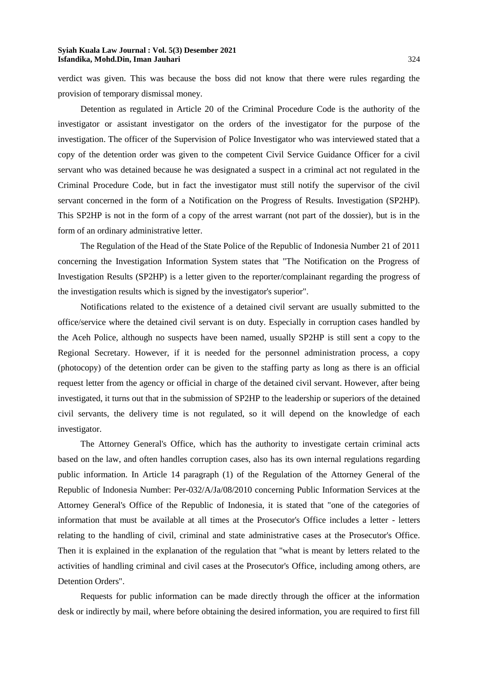verdict was given. This was because the boss did not know that there were rules regarding the provision of temporary dismissal money.

Detention as regulated in Article 20 of the Criminal Procedure Code is the authority of the investigator or assistant investigator on the orders of the investigator for the purpose of the investigation. The officer of the Supervision of Police Investigator who was interviewed stated that a copy of the detention order was given to the competent Civil Service Guidance Officer for a civil servant who was detained because he was designated a suspect in a criminal act not regulated in the Criminal Procedure Code, but in fact the investigator must still notify the supervisor of the civil servant concerned in the form of a Notification on the Progress of Results. Investigation (SP2HP). This SP2HP is not in the form of a copy of the arrest warrant (not part of the dossier), but is in the form of an ordinary administrative letter.

The Regulation of the Head of the State Police of the Republic of Indonesia Number 21 of 2011 concerning the Investigation Information System states that "The Notification on the Progress of Investigation Results (SP2HP) is a letter given to the reporter/complainant regarding the progress of the investigation results which is signed by the investigator's superior".

Notifications related to the existence of a detained civil servant are usually submitted to the office/service where the detained civil servant is on duty. Especially in corruption cases handled by the Aceh Police, although no suspects have been named, usually SP2HP is still sent a copy to the Regional Secretary. However, if it is needed for the personnel administration process, a copy (photocopy) of the detention order can be given to the staffing party as long as there is an official request letter from the agency or official in charge of the detained civil servant. However, after being investigated, it turns out that in the submission of SP2HP to the leadership or superiors of the detained civil servants, the delivery time is not regulated, so it will depend on the knowledge of each investigator.

The Attorney General's Office, which has the authority to investigate certain criminal acts based on the law, and often handles corruption cases, also has its own internal regulations regarding public information. In Article 14 paragraph (1) of the Regulation of the Attorney General of the Republic of Indonesia Number: Per-032/A/Ja/08/2010 concerning Public Information Services at the Attorney General's Office of the Republic of Indonesia, it is stated that "one of the categories of information that must be available at all times at the Prosecutor's Office includes a letter - letters relating to the handling of civil, criminal and state administrative cases at the Prosecutor's Office. Then it is explained in the explanation of the regulation that "what is meant by letters related to the activities of handling criminal and civil cases at the Prosecutor's Office, including among others, are Detention Orders".

Requests for public information can be made directly through the officer at the information desk or indirectly by mail, where before obtaining the desired information, you are required to first fill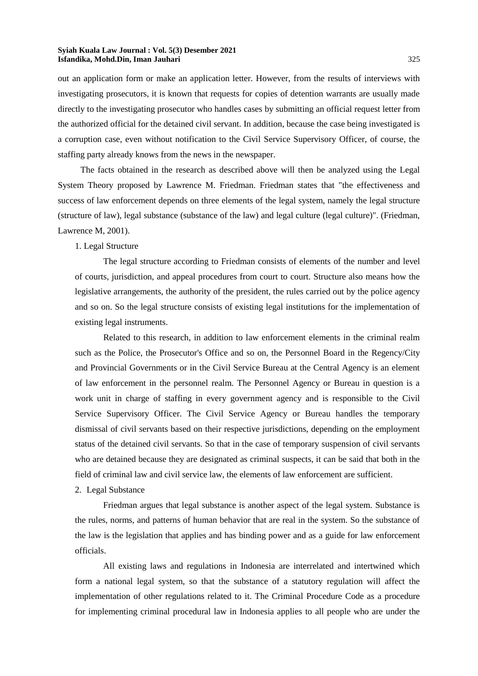out an application form or make an application letter. However, from the results of interviews with investigating prosecutors, it is known that requests for copies of detention warrants are usually made directly to the investigating prosecutor who handles cases by submitting an official request letter from the authorized official for the detained civil servant. In addition, because the case being investigated is a corruption case, even without notification to the Civil Service Supervisory Officer, of course, the staffing party already knows from the news in the newspaper.

The facts obtained in the research as described above will then be analyzed using the Legal System Theory proposed by Lawrence M. Friedman. Friedman states that "the effectiveness and success of law enforcement depends on three elements of the legal system, namely the legal structure (structure of law), legal substance (substance of the law) and legal culture (legal culture)". (Friedman, Lawrence M, 2001).

### 1. Legal Structure

The legal structure according to Friedman consists of elements of the number and level of courts, jurisdiction, and appeal procedures from court to court. Structure also means how the legislative arrangements, the authority of the president, the rules carried out by the police agency and so on. So the legal structure consists of existing legal institutions for the implementation of existing legal instruments.

Related to this research, in addition to law enforcement elements in the criminal realm such as the Police, the Prosecutor's Office and so on, the Personnel Board in the Regency/City and Provincial Governments or in the Civil Service Bureau at the Central Agency is an element of law enforcement in the personnel realm. The Personnel Agency or Bureau in question is a work unit in charge of staffing in every government agency and is responsible to the Civil Service Supervisory Officer. The Civil Service Agency or Bureau handles the temporary dismissal of civil servants based on their respective jurisdictions, depending on the employment status of the detained civil servants. So that in the case of temporary suspension of civil servants who are detained because they are designated as criminal suspects, it can be said that both in the field of criminal law and civil service law, the elements of law enforcement are sufficient.

#### 2. Legal Substance

Friedman argues that legal substance is another aspect of the legal system. Substance is the rules, norms, and patterns of human behavior that are real in the system. So the substance of the law is the legislation that applies and has binding power and as a guide for law enforcement officials.

All existing laws and regulations in Indonesia are interrelated and intertwined which form a national legal system, so that the substance of a statutory regulation will affect the implementation of other regulations related to it. The Criminal Procedure Code as a procedure for implementing criminal procedural law in Indonesia applies to all people who are under the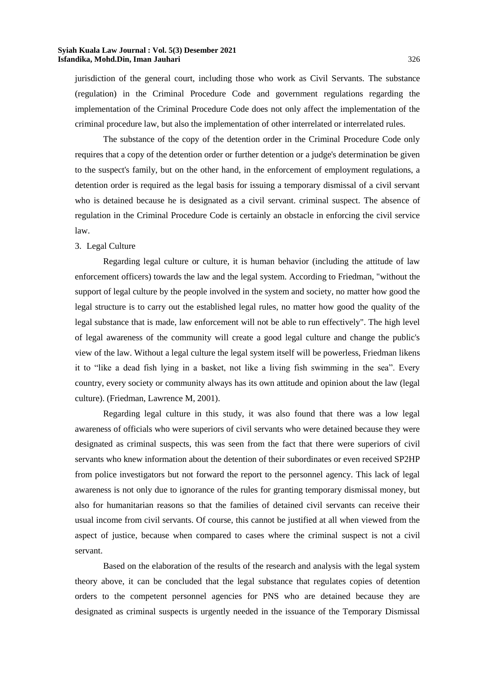jurisdiction of the general court, including those who work as Civil Servants. The substance (regulation) in the Criminal Procedure Code and government regulations regarding the implementation of the Criminal Procedure Code does not only affect the implementation of the criminal procedure law, but also the implementation of other interrelated or interrelated rules.

The substance of the copy of the detention order in the Criminal Procedure Code only requires that a copy of the detention order or further detention or a judge's determination be given to the suspect's family, but on the other hand, in the enforcement of employment regulations, a detention order is required as the legal basis for issuing a temporary dismissal of a civil servant who is detained because he is designated as a civil servant. criminal suspect. The absence of regulation in the Criminal Procedure Code is certainly an obstacle in enforcing the civil service law.

### 3. Legal Culture

Regarding legal culture or culture, it is human behavior (including the attitude of law enforcement officers) towards the law and the legal system. According to Friedman, "without the support of legal culture by the people involved in the system and society, no matter how good the legal structure is to carry out the established legal rules, no matter how good the quality of the legal substance that is made, law enforcement will not be able to run effectively". The high level of legal awareness of the community will create a good legal culture and change the public's view of the law. Without a legal culture the legal system itself will be powerless, Friedman likens it to "like a dead fish lying in a basket, not like a living fish swimming in the sea". Every country, every society or community always has its own attitude and opinion about the law (legal culture). (Friedman, Lawrence M, 2001).

Regarding legal culture in this study, it was also found that there was a low legal awareness of officials who were superiors of civil servants who were detained because they were designated as criminal suspects, this was seen from the fact that there were superiors of civil servants who knew information about the detention of their subordinates or even received SP2HP from police investigators but not forward the report to the personnel agency. This lack of legal awareness is not only due to ignorance of the rules for granting temporary dismissal money, but also for humanitarian reasons so that the families of detained civil servants can receive their usual income from civil servants. Of course, this cannot be justified at all when viewed from the aspect of justice, because when compared to cases where the criminal suspect is not a civil servant.

Based on the elaboration of the results of the research and analysis with the legal system theory above, it can be concluded that the legal substance that regulates copies of detention orders to the competent personnel agencies for PNS who are detained because they are designated as criminal suspects is urgently needed in the issuance of the Temporary Dismissal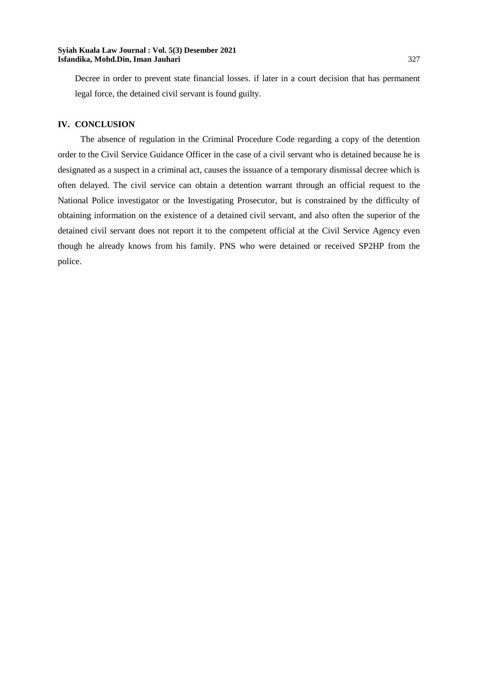Decree in order to prevent state financial losses. if later in a court decision that has permanent legal force, the detained civil servant is found guilty.

# **IV. CONCLUSION**

The absence of regulation in the Criminal Procedure Code regarding a copy of the detention order to the Civil Service Guidance Officer in the case of a civil servant who is detained because he is designated as a suspect in a criminal act, causes the issuance of a temporary dismissal decree which is often delayed. The civil service can obtain a detention warrant through an official request to the National Police investigator or the Investigating Prosecutor, but is constrained by the difficulty of obtaining information on the existence of a detained civil servant, and also often the superior of the detained civil servant does not report it to the competent official at the Civil Service Agency even though he already knows from his family. PNS who were detained or received SP2HP from the police.